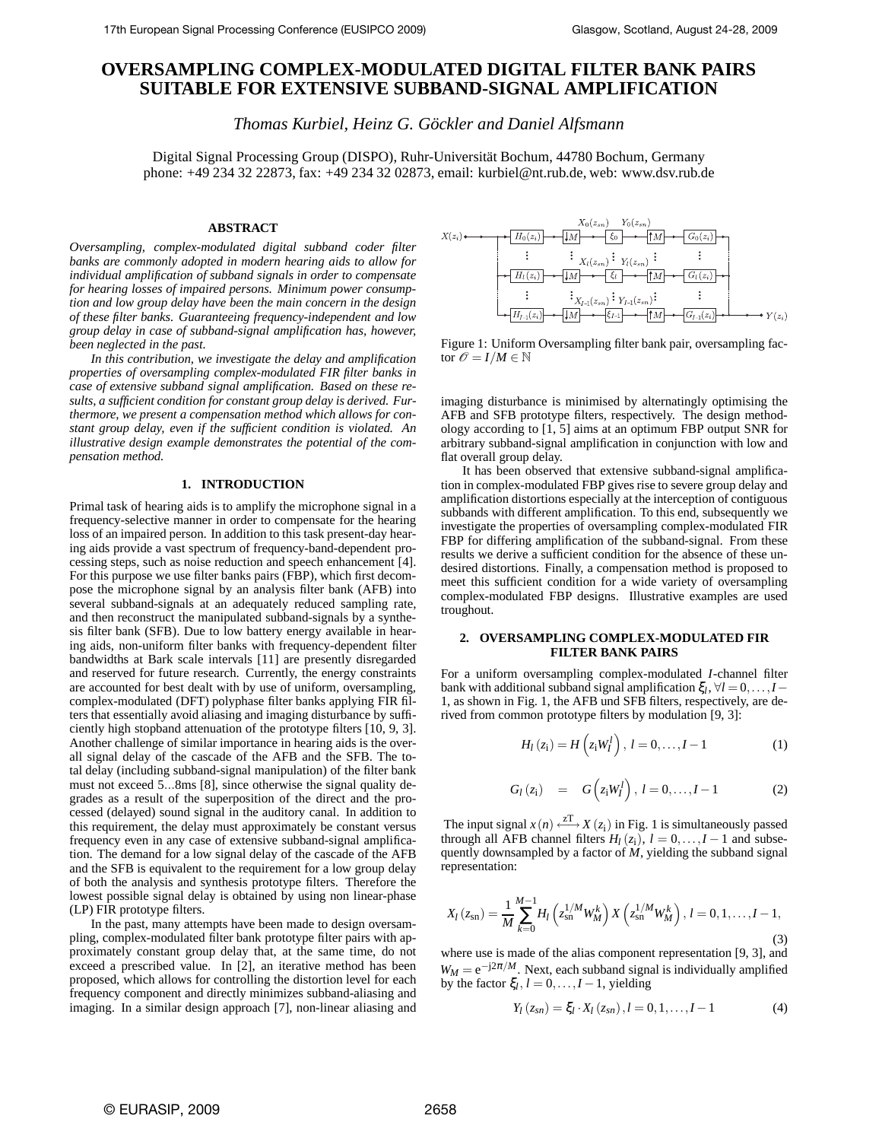# **OVERSAMPLING COMPLEX-MODULATED DIGITAL FILTER BANK PAIRS SUITABLE FOR EXTENSIVE SUBBAND-SIGNAL AMPLIFICATION**

*Thomas Kurbiel, Heinz G. Göckler and Daniel Alfsmann*

Digital Signal Processing Group (DISPO), Ruhr-Universität Bochum, 44780 Bochum, Germany phone: +49 234 32 22873, fax: +49 234 32 02873, email: kurbiel@nt.rub.de, web: www.dsv.rub.de

# **ABSTRACT**

*Oversampling, complex-modulated digital subband coder filter banks are commonly adopted in modern hearing aids to allow for individual amplification of subband signals in order to compensate for hearing losses of impaired persons. Minimum power consumption and low group delay have been the main concern in the design of these filter banks. Guaranteeing frequency-independent and low group delay in case of subband-signal amplification has, however, been neglected in the past.*

*In this contribution, we investigate the delay and amplification properties of oversampling complex-modulated FIR filter banks in case of extensive subband signal amplification. Based on these results, a sufficient condition for constant group delay is derived. Furthermore, we present a compensation method which allows for constant group delay, even if the sufficient condition is violated. An illustrative design example demonstrates the potential of the compensation method.*

# **1. INTRODUCTION**

Primal task of hearing aids is to amplify the microphone signal in a frequency-selective manner in order to compensate for the hearing loss of an impaired person. In addition to this task present-day hearing aids provide a vast spectrum of frequency-band-dependent processing steps, such as noise reduction and speech enhancement [4]. For this purpose we use filter banks pairs (FBP), which first decompose the microphone signal by an analysis filter bank (AFB) into several subband-signals at an adequately reduced sampling rate, and then reconstruct the manipulated subband-signals by a synthesis filter bank (SFB). Due to low battery energy available in hearing aids, non-uniform filter banks with frequency-dependent filter bandwidths at Bark scale intervals [11] are presently disregarded and reserved for future research. Currently, the energy constraints are accounted for best dealt with by use of uniform*,* oversampling*,* complex-modulated (DFT) polyphase filter banks applying FIR filters that essentially avoid aliasing and imaging disturbance by sufficiently high stopband attenuation of the prototype filters [10, 9, 3]. Another challenge of similar importance in hearing aids is the overall signal delay of the cascade of the AFB and the SFB. The total delay (including subband-signal manipulation) of the filter bank must not exceed 5...8ms [8], since otherwise the signal quality degrades as a result of the superposition of the direct and the processed (delayed) sound signal in the auditory canal. In addition to this requirement, the delay must approximately be constant versus frequency even in any case of extensive subband-signal amplification. The demand for a low signal delay of the cascade of the AFB and the SFB is equivalent to the requirement for a low group delay of both the analysis and synthesis prototype filters. Therefore the lowest possible signal delay is obtained by using non linear-phase (LP) FIR prototype filters.

In the past, many attempts have been made to design oversampling, complex-modulated filter bank prototype filter pairs with approximately constant group delay that, at the same time, do not exceed a prescribed value. In [2], an iterative method has been proposed, which allows for controlling the distortion level for each frequency component and directly minimizes subband-aliasing and imaging. In a similar design approach [7], non-linear aliasing and



Figure 1: Uniform Oversampling filter bank pair, oversampling factor  $\mathcal{O} = I/M \in \mathbb{N}$ 

imaging disturbance is minimised by alternatingly optimising the AFB and SFB prototype filters, respectively. The design methodology according to [1, 5] aims at an optimum FBP output SNR for arbitrary subband-signal amplification in conjunction with low and flat overall group delay.

It has been observed that extensive subband-signal amplification in complex-modulated FBP gives rise to severe group delay and amplification distortions especially at the interception of contiguous subbands with different amplification. To this end, subsequently we investigate the properties of oversampling complex-modulated FIR FBP for differing amplification of the subband-signal. From these results we derive a sufficient condition for the absence of these undesired distortions. Finally, a compensation method is proposed to meet this sufficient condition for a wide variety of oversampling complex-modulated FBP designs. Illustrative examples are used troughout.

## **2. OVERSAMPLING COMPLEX-MODULATED FIR FILTER BANK PAIRS**

For a uniform oversampling complex-modulated *I*-channel filter bank with additional subband signal amplification  $\xi_l$ ,  $\forall l = 0, \ldots, I-$ 1, as shown in Fig. 1, the AFB und SFB filters, respectively, are derived from common prototype filters by modulation [9, 3]:

$$
H_{l}(z_{i}) = H(z_{i}W_{l}^{l}), l = 0,..., I-1
$$
 (1)

$$
G_l(z_i) = G(z_i W_l^l), l = 0,..., I-1
$$
 (2)

The input signal  $x(n) \stackrel{zT}{\longleftrightarrow} X(z_i)$  in Fig. 1 is simultaneously passed through all AFB channel filters  $H_l(z_i)$ ,  $l = 0, \ldots, I-1$  and subsequently downsampled by a factor of *M*, yielding the subband signal representation:

$$
X_{l}(z_{\rm sn}) = \frac{1}{M} \sum_{k=0}^{M-1} H_{l}\left(z_{\rm sn}^{1/M} W_{M}^{k}\right) X\left(z_{\rm sn}^{1/M} W_{M}^{k}\right), l = 0, 1, \dots, I-1,
$$
\n(3)

where use is made of the alias component representation [9, 3], and  $W_M = e^{-j2\pi/M}$ . Next, each subband signal is individually amplified by the factor  $\xi_l$ ,  $l = 0, \ldots, I-1$ , yielding

$$
Y_{l}(z_{sn}) = \xi_{l} \cdot X_{l}(z_{sn}), l = 0, 1, ..., I - 1
$$
 (4)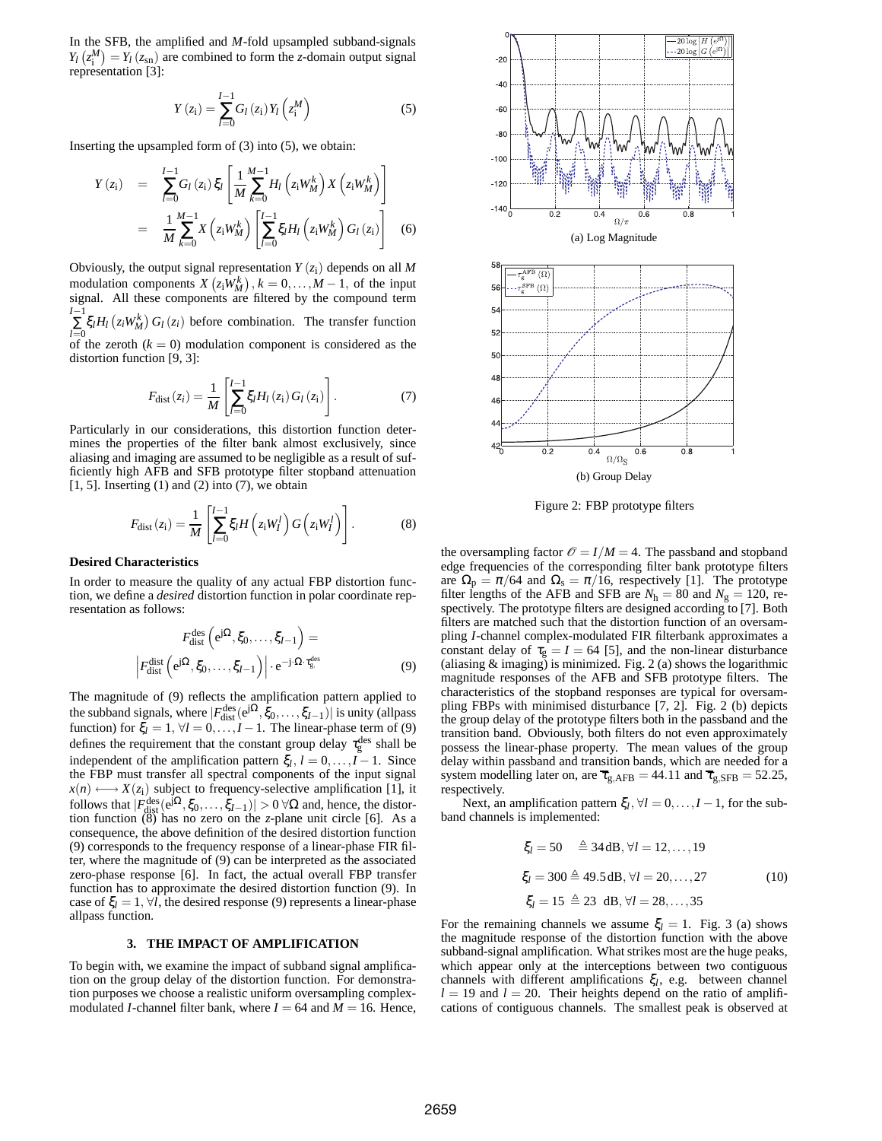In the SFB, the amplified and *M*-fold upsampled subband-signals  $Y_l(z_i^M) = Y_l(z_{sn})$  are combined to form the *z*-domain output signal representation [3]:

$$
Y(z_{i}) = \sum_{l=0}^{I-1} G_{l}(z_{i}) Y_{l}(z_{i}^{M})
$$
\n(5)

Inserting the upsampled form of (3) into (5), we obtain:

$$
Y(z_{i}) = \sum_{l=0}^{I-1} G_{l}(z_{i}) \xi_{l} \left[ \frac{1}{M} \sum_{k=0}^{M-1} H_{l}(z_{i}W_{M}^{k}) X(z_{i}W_{M}^{k}) \right]
$$
  

$$
= \frac{1}{M} \sum_{k=0}^{M-1} X(z_{i}W_{M}^{k}) \left[ \sum_{l=0}^{I-1} \xi_{l} H_{l}(z_{i}W_{M}^{k}) G_{l}(z_{i}) \right]
$$
(6)

Obviously, the output signal representation  $Y(z_i)$  depends on all M modulation components  $X(z_iW_M^k)$ ,  $k = 0,...,M-1$ , of the input signal. All these components are filtered by the compound term *I*<sup>−1</sup>  $\sum_{l=0}$   $\zeta_l H_l$  (*z*<sub>*i*</sub>W<sub>*M*</sub></sub>) *G*<sub>*l*</sub> (*z*<sub>*i*</sub>) before combination. The transfer function of the zeroth  $(k = 0)$  modulation component is considered as the distortion function [9, 3]:

$$
F_{\text{dist}}(z_i) = \frac{1}{M} \left[ \sum_{l=0}^{I-1} \xi_l H_l(z_i) G_l(z_i) \right].
$$
 (7)

Particularly in our considerations, this distortion function determines the properties of the filter bank almost exclusively, since aliasing and imaging are assumed to be negligible as a result of sufficiently high AFB and SFB prototype filter stopband attenuation  $[1, 5]$ . Inserting  $(1)$  and  $(2)$  into  $(7)$ , we obtain

$$
F_{\text{dist}}\left(z_{\text{i}}\right) = \frac{1}{M} \left[ \sum_{l=0}^{I-1} \xi_{l} H\left(z_{\text{i}} W_{l}^{l}\right) G\left(z_{\text{i}} W_{l}^{l}\right) \right]. \tag{8}
$$

## **Desired Characteristics**

In order to measure the quality of any actual FBP distortion function, we define a *desired* distortion function in polar coordinate representation as follows:

$$
F_{\text{dist}}^{\text{des}}\left(e^{j\Omega}, \xi_0, \dots, \xi_{I-1}\right) =
$$
\n
$$
\left|F_{\text{dist}}^{\text{dist}}\left(e^{j\Omega}, \xi_0, \dots, \xi_{I-1}\right)\right| \cdot e^{-j\cdot\Omega \cdot \tau_{g}^{\text{des}}}
$$
\n(9)

The magnitude of (9) reflects the amplification pattern applied to the subband signals, where  $|F_{dist}^{des}(e^{j\Omega}, \xi_0, \dots, \xi_{I-1})|$  is unity (allpass function) for  $\xi_l = 1, \forall l = 0, \dots, I-1$ . The linear-phase term of (9) defines the requirement that the constant group delay  $\tau_{\rm g}^{\rm des}$  shall be independent of the amplification pattern  $\xi_l$ ,  $l = 0, \ldots, I-1$ . Since the FBP must transfer all spectral components of the input signal  $x(n) \longleftrightarrow X(z_i)$  subject to frequency-selective amplification [1], it follows that  $|F_{\text{dist}}^{\text{des}}(e^{j\Omega}, \xi_0, \dots, \xi_{I-1})| > 0 \,\forall \Omega$  and, hence, the distortion function (8) has no zero on the *z*-plane unit circle [6]. As a consequence, the above definition of the desired distortion function (9) corresponds to the frequency response of a linear-phase FIR filter, where the magnitude of (9) can be interpreted as the associated zero-phase response [6]. In fact, the actual overall FBP transfer function has to approximate the desired distortion function (9). In case of  $\xi_l = 1, \forall l$ , the desired response (9) represents a linear-phase allpass function.

## **3. THE IMPACT OF AMPLIFICATION**

To begin with, we examine the impact of subband signal amplification on the group delay of the distortion function. For demonstration purposes we choose a realistic uniform oversampling complexmodulated *I*-channel filter bank, where  $I = 64$  and  $M = 16$ . Hence,



Figure 2: FBP prototype filters

the oversampling factor  $\mathcal{O} = I/M = 4$ . The passband and stopband edge frequencies of the corresponding filter bank prototype filters are  $\Omega_{p} = \pi/64$  and  $\Omega_{s} = \pi/16$ , respectively [1]. The prototype filter lengths of the AFB and SFB are  $N_h = 80$  and  $N_g = 120$ , respectively. The prototype filters are designed according to [7]. Both filters are matched such that the distortion function of an oversampling *I*-channel complex-modulated FIR filterbank approximates a constant delay of  $\tau_{g} = I = 64$  [5], and the non-linear disturbance (aliasing  $&$  imaging) is minimized. Fig. 2 (a) shows the logarithmic magnitude responses of the AFB and SFB prototype filters. The characteristics of the stopband responses are typical for oversampling FBPs with minimised disturbance [7, 2]. Fig. 2 (b) depicts the group delay of the prototype filters both in the passband and the transition band. Obviously, both filters do not even approximately possess the linear-phase property. The mean values of the group delay within passband and transition bands, which are needed for a system modelling later on, are  $\overline{\tau}_{g,\text{AFB}} = 44.11$  and  $\overline{\tau}_{g,\text{SFB}} = 52.25$ , respectively.

Next, an amplification pattern  $\xi_l$ ,  $\forall l = 0, ..., I-1$ , for the subband channels is implemented:

$$
\xi_l = 50 \quad \triangleq 34 \, \text{dB}, \forall l = 12, ..., 19
$$
\n
$$
\xi_l = 300 \triangleq 49.5 \, \text{dB}, \forall l = 20, ..., 27
$$
\n
$$
\xi_l = 15 \triangleq 23 \, \text{dB}, \forall l = 28, ..., 35
$$
\n(10)

For the remaining channels we assume  $\xi_l = 1$ . Fig. 3 (a) shows the magnitude response of the distortion function with the above subband-signal amplification. What strikes most are the huge peaks, which appear only at the interceptions between two contiguous channels with different amplifications ξ*<sup>l</sup>* , e.g. between channel  $l = 19$  and  $l = 20$ . Their heights depend on the ratio of amplifications of contiguous channels. The smallest peak is observed at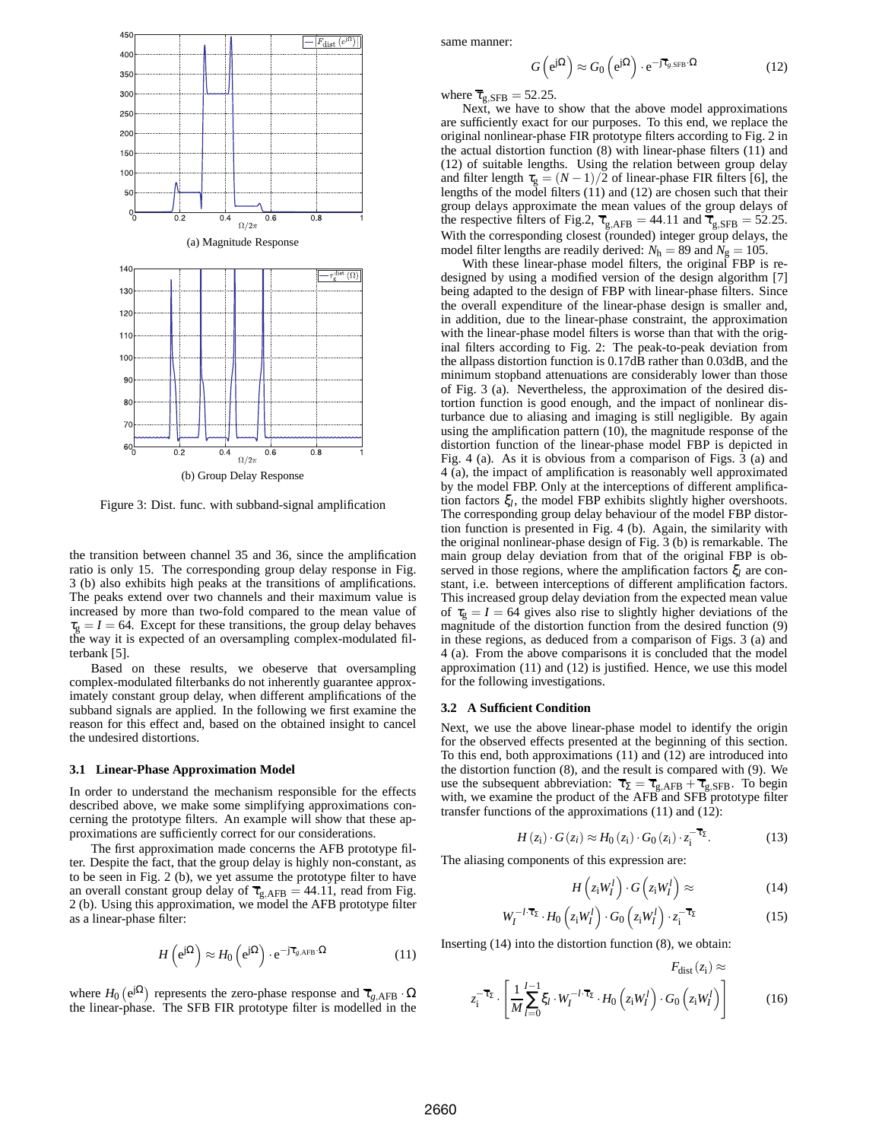

Figure 3: Dist. func. with subband-signal amplification

the transition between channel 35 and 36, since the amplification ratio is only 15. The corresponding group delay response in Fig. 3 (b) also exhibits high peaks at the transitions of amplifications. The peaks extend over two channels and their maximum value is increased by more than two-fold compared to the mean value of  $\tau_{\rm g} = I = 64$ . Except for these transitions, the group delay behaves the way it is expected of an oversampling complex-modulated filterbank [5].

Based on these results, we obeserve that oversampling complex-modulated filterbanks do not inherently guarantee approximately constant group delay, when different amplifications of the subband signals are applied. In the following we first examine the reason for this effect and, based on the obtained insight to cancel the undesired distortions.

## **3.1 Linear-Phase Approximation Model**

In order to understand the mechanism responsible for the effects described above, we make some simplifying approximations concerning the prototype filters. An example will show that these approximations are sufficiently correct for our considerations.

The first approximation made concerns the AFB prototype filter. Despite the fact, that the group delay is highly non-constant, as to be seen in Fig. 2 (b), we yet assume the prototype filter to have an overall constant group delay of  $\overline{\tau}_{g,AFB} = 44.11$ , read from Fig. 2 (b). Using this approximation, we model the AFB prototype filter as a linear-phase filter:

$$
H\left(e^{j\Omega}\right) \approx H_0\left(e^{j\Omega}\right) \cdot e^{-j\overline{\tau}_{g, \text{AFB}} \cdot \Omega} \tag{11}
$$

where  $H_0$  (e<sup>j $\Omega$ </sup>) represents the zero-phase response and  $\overline{\tau}_{g,\text{AFB}} \cdot \Omega$ the linear-phase. The SFB FIR prototype filter is modelled in the same manner:

$$
G\left(e^{j\Omega}\right) \approx G_0\left(e^{j\Omega}\right) \cdot e^{-j\overline{\tau}_{g,\text{SFB}} \cdot \Omega} \tag{12}
$$

where  $\overline{\tau}_{\text{g,SFB}} = 52.25$ .

Next, we have to show that the above model approximations are sufficiently exact for our purposes. To this end, we replace the original nonlinear-phase FIR prototype filters according to Fig. 2 in the actual distortion function (8) with linear-phase filters (11) and (12) of suitable lengths. Using the relation between group delay and filter length  $\tau_g = (N-1)/2$  of linear-phase FIR filters [6], the lengths of the model filters (11) and (12) are chosen such that their group delays approximate the mean values of the group delays of the respective filters of Fig.2,  $\overline{\tau}_{g,\text{AFB}} = 44.11$  and  $\overline{\tau}_{g,\text{SFB}} = 52.25$ . With the corresponding closest (rounded) integer group delays, the model filter lengths are readily derived:  $N_h = 89$  and  $N_g = 105$ .

With these linear-phase model filters, the original FBP is redesigned by using a modified version of the design algorithm [7] being adapted to the design of FBP with linear-phase filters. Since the overall expenditure of the linear-phase design is smaller and, in addition, due to the linear-phase constraint, the approximation with the linear-phase model filters is worse than that with the original filters according to Fig. 2: The peak-to-peak deviation from the allpass distortion function is 0.17dB rather than 0.03dB, and the minimum stopband attenuations are considerably lower than those of Fig. 3 (a). Nevertheless, the approximation of the desired distortion function is good enough, and the impact of nonlinear disturbance due to aliasing and imaging is still negligible. By again using the amplification pattern (10), the magnitude response of the distortion function of the linear-phase model FBP is depicted in Fig. 4 (a). As it is obvious from a comparison of Figs. 3 (a) and 4 (a), the impact of amplification is reasonably well approximated by the model FBP. Only at the interceptions of different amplification factors ξ*<sup>l</sup>* , the model FBP exhibits slightly higher overshoots. The corresponding group delay behaviour of the model FBP distortion function is presented in Fig. 4 (b). Again, the similarity with the original nonlinear-phase design of Fig. 3 (b) is remarkable. The main group delay deviation from that of the original FBP is observed in those regions, where the amplification factors ξ*<sup>l</sup>* are constant, i.e. between interceptions of different amplification factors. This increased group delay deviation from the expected mean value of  $\tau_{\rm g} = I = 64$  gives also rise to slightly higher deviations of the magnitude of the distortion function from the desired function (9) in these regions, as deduced from a comparison of Figs. 3 (a) and 4 (a). From the above comparisons it is concluded that the model approximation (11) and (12) is justified. Hence, we use this model for the following investigations.

#### **3.2 A Sufficient Condition**

*W*

Next, we use the above linear-phase model to identify the origin for the observed effects presented at the beginning of this section. To this end, both approximations (11) and (12) are introduced into the distortion function (8), and the result is compared with (9). We use the subsequent abbreviation:  $\overline{\tau}_{\Sigma} = \overline{\tau}_{g,AFB} + \overline{\tau}_{g,SFB}$ . To begin with, we examine the product of the AFB and SFB prototype filter transfer functions of the approximations (11) and (12):

$$
H(zi) \cdot G(zi) \approx H_0(zi) \cdot G_0(zi) \cdot z_i^{-\overline{\tau}_\Sigma}.
$$
 (13)

The aliasing components of this expression are:

$$
H\left(z_i W_I^l\right) \cdot G\left(z_i W_I^l\right) \approx \tag{14}
$$

 $\mathbf{r} = (-\Delta)^2$ 

$$
V_I^{-l \cdot \overline{\tau}_{\Sigma}} \cdot H_0 \left( z_i W_I^l \right) \cdot G_0 \left( z_i W_I^l \right) \cdot z_i^{-\overline{\tau}_{\Sigma}} \tag{15}
$$

Inserting (14) into the distortion function (8), we obtain:

$$
z_{i}^{-\overline{\tau}_{\Sigma}} \cdot \left[ \frac{1}{M} \sum_{l=0}^{I-1} \xi_{l} \cdot W_{l}^{-l \cdot \overline{\tau}_{\Sigma}} \cdot H_{0} \left( z_{i} W_{I}^{l} \right) \cdot G_{0} \left( z_{i} W_{I}^{l} \right) \right]
$$
(16)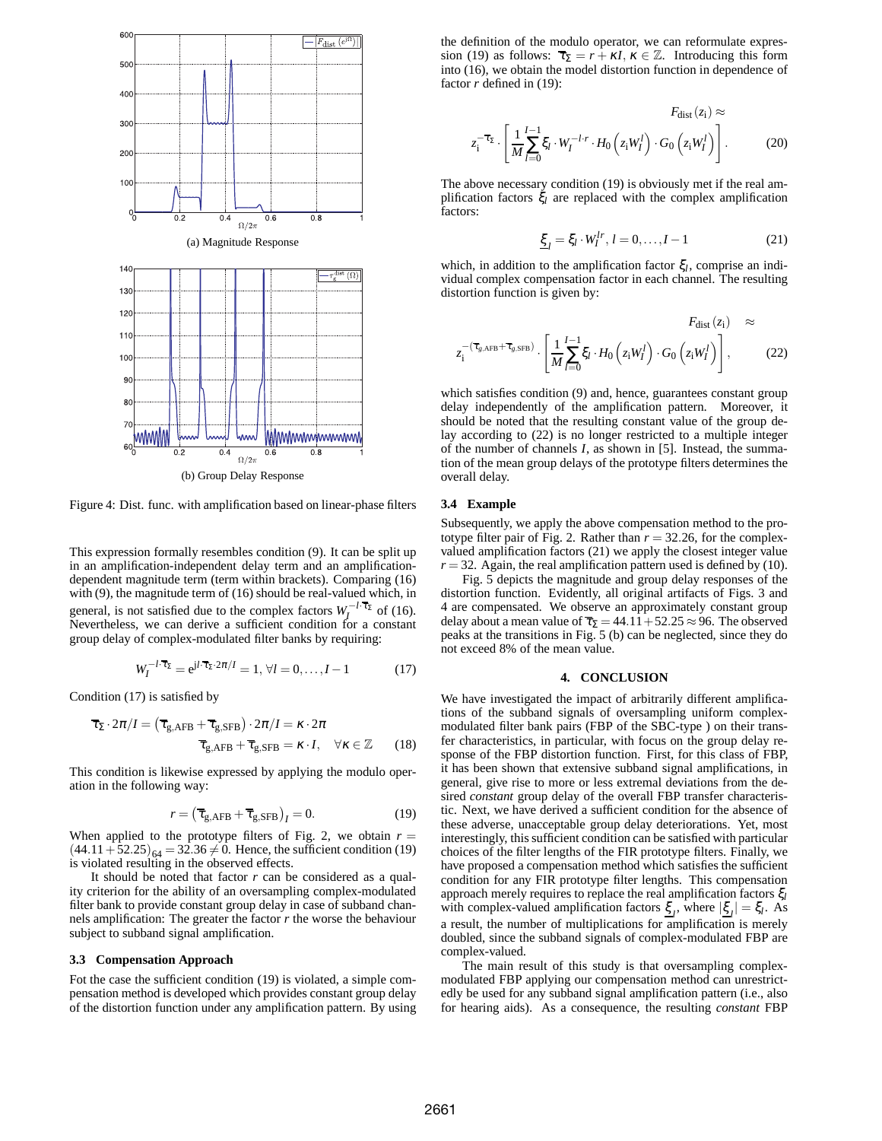

Figure 4: Dist. func. with amplification based on linear-phase filters

This expression formally resembles condition (9). It can be split up in an amplification-independent delay term and an amplificationdependent magnitude term (term within brackets). Comparing (16) with (9), the magnitude term of (16) should be real-valued which, in general, is not satisfied due to the complex factors  $W_I^{-1.7}$  of (16). Nevertheless, we can derive a sufficient condition for a constant group delay of complex-modulated filter banks by requiring:

$$
W_I^{-l \cdot \overline{\tau}_{\Sigma}} = e^{j l \cdot \overline{\tau}_{\Sigma} \cdot 2\pi / I} = 1, \forall l = 0, \dots, I - 1 \tag{17}
$$

Condition (17) is satisfied by

$$
\overline{\tau}_{\Sigma} \cdot 2\pi / I = (\overline{\tau}_{g, \text{AFB}} + \overline{\tau}_{g, \text{SFB}}) \cdot 2\pi / I = \kappa \cdot 2\pi \n\overline{\tau}_{g, \text{AFB}} + \overline{\tau}_{g, \text{SFB}} = \kappa \cdot I, \quad \forall \kappa \in \mathbb{Z}
$$
\n(18)

This condition is likewise expressed by applying the modulo operation in the following way:

$$
r = \left(\overline{\tau}_{\text{g,AFB}} + \overline{\tau}_{\text{g,SFB}}\right)_I = 0. \tag{19}
$$

When applied to the prototype filters of Fig. 2, we obtain  $r =$  $(44.11 + 52.25)_{64} = 32.36 \neq 0$ . Hence, the sufficient condition (19) is violated resulting in the observed effects.

It should be noted that factor *r* can be considered as a quality criterion for the ability of an oversampling complex-modulated filter bank to provide constant group delay in case of subband channels amplification: The greater the factor  $r$  the worse the behaviour subject to subband signal amplification.

### **3.3 Compensation Approach**

Fot the case the sufficient condition (19) is violated, a simple compensation method is developed which provides constant group delay of the distortion function under any amplification pattern. By using the definition of the modulo operator, we can reformulate expression (19) as follows:  $\overline{\tau}_{\Sigma} = r + \kappa I$ ,  $\kappa \in \mathbb{Z}$ . Introducing this form into (16), we obtain the model distortion function in dependence of factor *r* defined in (19):

$$
F_{\text{dist}}(z_i) \approx
$$
  

$$
z_i^{-\overline{\tau}_\Sigma} \cdot \left[ \frac{1}{M} \sum_{l=0}^{I-1} \xi_l \cdot W_I^{-l \cdot r} \cdot H_0 \left( z_i W_I^l \right) \cdot G_0 \left( z_i W_I^l \right) \right].
$$
 (20)

The above necessary condition (19) is obviously met if the real amplification factors ξ*<sup>l</sup>* are replaced with the complex amplification factors:

$$
\underline{\xi}_l = \xi_l \cdot W_l^{lr}, \, l = 0, \dots, I - 1 \tag{21}
$$

which, in addition to the amplification factor ξ*<sup>l</sup>* , comprise an individual complex compensation factor in each channel. The resulting distortion function is given by:

$$
F_{\text{dist}}(z_i) \approx
$$
  

$$
z_i^{-(\overline{\tau}_{g,\text{AFB}} + \overline{\tau}_{g,\text{SFB}})} \cdot \left[ \frac{1}{M} \sum_{l=0}^{I-1} \xi_l \cdot H_0 \left( z_i W_l^l \right) \cdot G_0 \left( z_i W_l^l \right) \right],
$$
 (22)

which satisfies condition (9) and, hence, guarantees constant group delay independently of the amplification pattern. Moreover, it should be noted that the resulting constant value of the group delay according to (22) is no longer restricted to a multiple integer of the number of channels *I*, as shown in [5]. Instead, the summation of the mean group delays of the prototype filters determines the overall delay.

#### **3.4 Example**

Subsequently, we apply the above compensation method to the prototype filter pair of Fig. 2. Rather than  $r = 32.26$ , for the complexvalued amplification factors (21) we apply the closest integer value  $r = 32$ . Again, the real amplification pattern used is defined by (10).

Fig. 5 depicts the magnitude and group delay responses of the distortion function. Evidently, all original artifacts of Figs. 3 and 4 are compensated. We observe an approximately constant group delay about a mean value of  $\overline{\tau}_{\Sigma} = 44.11 + 52.25 \approx 96$ . The observed peaks at the transitions in Fig. 5 (b) can be neglected, since they do not exceed 8% of the mean value.

## **4. CONCLUSION**

We have investigated the impact of arbitrarily different amplifications of the subband signals of oversampling uniform complexmodulated filter bank pairs (FBP of the SBC-type ) on their transfer characteristics, in particular, with focus on the group delay response of the FBP distortion function. First, for this class of FBP, it has been shown that extensive subband signal amplifications, in general, give rise to more or less extremal deviations from the desired *constant* group delay of the overall FBP transfer characteristic. Next, we have derived a sufficient condition for the absence of these adverse, unacceptable group delay deteriorations. Yet, most interestingly, this sufficient condition can be satisfied with particular choices of the filter lengths of the FIR prototype filters. Finally, we have proposed a compensation method which satisfies the sufficient condition for any FIR prototype filter lengths. This compensation approach merely requires to replace the real amplification factors ξ*<sup>l</sup>* with complex-valued amplification factors  $\xi_l$ , where  $|\xi_l| = \xi_l$ . As a result, the number of multiplications for amplification is merely doubled, since the subband signals of complex-modulated FBP are complex-valued.

The main result of this study is that oversampling complexmodulated FBP applying our compensation method can unrestrictedly be used for any subband signal amplification pattern (i.e., also for hearing aids). As a consequence, the resulting *constant* FBP